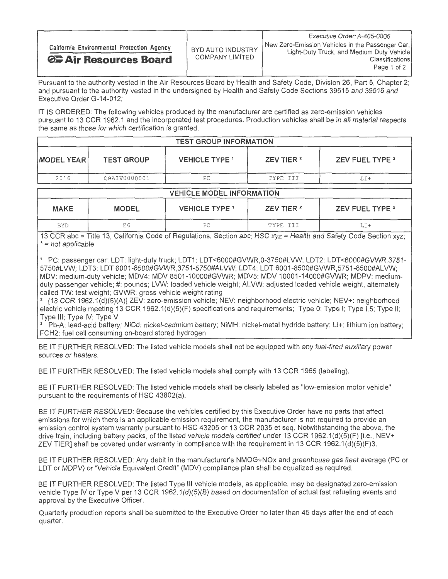|                                            |                                      | Executive Order: A-405-0005                                                                   |  |
|--------------------------------------------|--------------------------------------|-----------------------------------------------------------------------------------------------|--|
| California Environmental Protection Agency | BYD AUTO INDUSTRY<br>COMPANY LIMITED | New Zero-Emission Vehicles in the Passenger Car,<br>Light-Duty Truck, and Medium Duty Vehicle |  |
| <b>⊘</b> Air Resources Board               |                                      | Classifications                                                                               |  |
|                                            |                                      | Page 1 of 2                                                                                   |  |

Pursuant to the authority vested in the Air Resources Board by Health and Safety Code, Division 26, Part 5, Chapter 2; and pursuant to the authority vested in the undersigned by Health and Safety Code Sections 39515 and 39516 and Executive Order G-14-012;

IT IS ORDERED: The following vehicles produced by the manufacturer are certified as zero-emission vehicles pursuant to 13 CCR 1962.1 and the incorporated test procedures. Production vehicles shall be in all material respects the same as those for which certification is granted.

| <b>TEST GROUP INFORMATION</b> |                   |                       |                       |                 |  |  |
|-------------------------------|-------------------|-----------------------|-----------------------|-----------------|--|--|
| <b>IMODEL YEARI</b>           | <b>TEST GROUP</b> | <b>VEHICLE TYPE 1</b> | ZEV TIER <sup>2</sup> | ZEV FUEL TYPE 3 |  |  |
| 2016                          | GBAIV0000001      | PС                    | TYPE III              | LI+             |  |  |

| <b>VEHICLE MODEL INFORMATION</b> |              |                       |                       |                        |  |  |
|----------------------------------|--------------|-----------------------|-----------------------|------------------------|--|--|
| <b>MAKE</b>                      | <b>MODEL</b> | <b>VEHICLE TYPE 1</b> | ZEV TIER <sup>2</sup> | <b>ZEV FUEL TYPE 3</b> |  |  |
| <b>BYD</b>                       | E 6          | РC                    | TYPE III              | LI +                   |  |  |

13 CCR abc = Title 13, California Code of Regulations, Section abc; HSC xyz = Health and Safety Code Section xyz; \* = not applicable

PC: passenger car; LDT: light-duty truck; LDT1: LDT<6000#GVWR,0-3750#LVW; LDT2: LDT<6000#GVWR,3751- 5750#LVW; LDT3: LDT 6001-8500#GVWR,3751-5750#ALVW; LDT4: LDT 6001-8500#GVWR,5751-8500#ALVW; MDV: medium-duty vehicle; MDV4: MDV 8501-10000#GVWR; MDV5: MDV 10001-14000#GVWR; MDPV: mediumduty passenger vehicle; #: pounds; LVW: loaded vehicle weight; ALVW: adjusted loaded vehicle weight, alternately called TW: test weight; GVWR: gross vehicle weight rating

2 [13 CCR 1962.1(d)(5)(A)] ZEV: zero-emission vehicle; NEV: neighborhood electric vehicle; NEV+: neighborhood electric vehicle meeting 13 CCR 1962.1(d)(5)(F) specifications and requirements; Type 0; Type I; Type 1.5; Type II; Type Ill; Type IV; Type V

<sup>3</sup> Pb-A: lead-acid battery; NiCd: nickel-cadmium battery; NiMH: nickel-metal hydride battery; Li+: lithium ion battery; FCH2: fuel cell consuming on-board stored hydrogen

BE IT FURTHER RESOLVED: The listed vehicle models shall not be equipped with any fuel-fired auxiliary power sources or heaters.

BE IT FURTHER RESOLVED: The listed vehicle models shall comply with 13 CCR 1965 (labeling).

BE IT FURTHER RESOLVED: The listed vehicle models shall be clearly labeled as "low-emission motor vehicle" pursuant to the requirements of HSC 43802(a).

BE IT FURTHER RESOLVED: Because the vehicles certified by this Executive Order have no parts that affect emissions for which there is an applicable emission requirement, the manufacturer is not required to provide an emission control system warranty pursuant to HSC 43205 or 13 CCR 2035 et seq. Notwithstanding the above, the drive train, including battery packs, of the listed vehicle models certified under 13 CCR 1962.1(d)(5)(F) [i.e., NEV+ ZEV TIER] shall be covered under warranty in compliance with the requirement in 13 CCR 1962.1(d)(5)(F)3.

BE IT FURTHER RESOLVED: Any debit in the manufacturer's NMOG+NOx and greenhouse gas fleet average (PC or LDT or MDPV) or "Vehicle Equivalent Credit" (MDV) compliance plan shall be equalized as required.

BE IT FURTHER RESOLVED: The listed Type Ill vehicle models, as applicable, may be designated zero-emission vehicle Type IV or Type V per 13 CCR 1962.1(d)(5)(B) based on documentation of actual fast refueling events and approval by the Executive Officer.

Quarterly production reports shall be submitted to the Executive Order no later than 45 days after the end of each quarter.